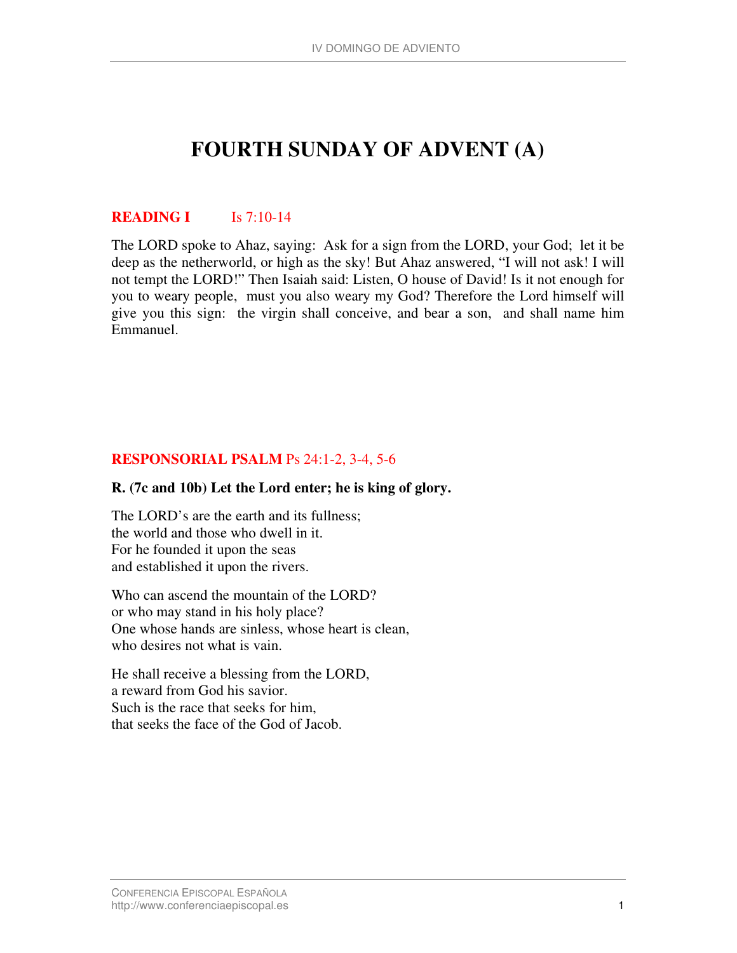# **FOURTH SUNDAY OF ADVENT (A)**

### **READING I Is 7:10-14**

The LORD spoke to Ahaz, saying: Ask for a sign from the LORD, your God; let it be deep as the netherworld, or high as the sky! But Ahaz answered, "I will not ask! I will not tempt the LORD!" Then Isaiah said: Listen, O house of David! Is it not enough for you to weary people, must you also weary my God? Therefore the Lord himself will give you this sign: the virgin shall conceive, and bear a son, and shall name him Emmanuel.

## **RESPONSORIAL PSALM** Ps 24:1-2, 3-4, 5-6

#### **R. (7c and 10b) Let the Lord enter; he is king of glory.**

The LORD's are the earth and its fullness; the world and those who dwell in it. For he founded it upon the seas and established it upon the rivers.

Who can ascend the mountain of the LORD? or who may stand in his holy place? One whose hands are sinless, whose heart is clean, who desires not what is vain.

He shall receive a blessing from the LORD, a reward from God his savior. Such is the race that seeks for him, that seeks the face of the God of Jacob.